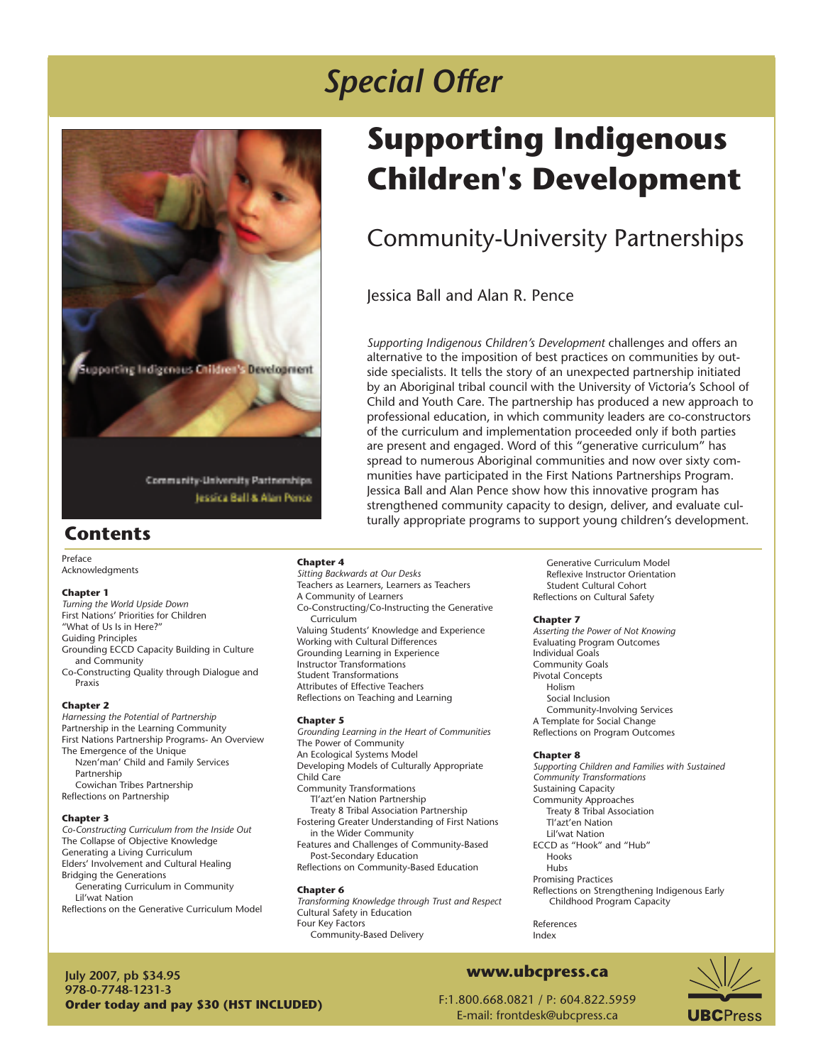

# *Special Offer*

# **Supporting Indigenous Children's Development**

# Community-University Partnerships

Jessica Ball and Alan R. Pence

*Supporting Indigenous Children's Development* challenges and offers an alternative to the imposition of best practices on communities by outside specialists. It tells the story of an unexpected partnership initiated by an Aboriginal tribal council with the University of Victoria's School of Child and Youth Care. The partnership has produced a new approach to professional education, in which community leaders are co-constructors of the curriculum and implementation proceeded only if both parties are present and engaged. Word of this "generative curriculum" has spread to numerous Aboriginal communities and now over sixty communities have participated in the First Nations Partnerships Program. Jessica Ball and Alan Pence show how this innovative program has strengthened community capacity to design, deliver, and evaluate culturally appropriate programs to support young children's development.

## **Contents**

Preface Acknowledgments

#### **Chapter 1**

*Turning the World Upside Down* First Nations' Priorities for Children "What of Us Is in Here?" Guiding Principles Grounding ECCD Capacity Building in Culture and Community Co-Constructing Quality through Dialogue and Praxis

#### **Chapter 2**

*Harnessing the Potential of Partnership* Partnership in the Learning Community First Nations Partnership Programs- An Overview The Emergence of the Unique Nzen'man' Child and Family Services Partnership Cowichan Tribes Partnership Reflections on Partnership

#### **Chapter 3**

*Co-Constructing Curriculum from the Inside Out* The Collapse of Objective Knowledge Generating a Living Curriculum Elders' Involvement and Cultural Healing Bridging the Generations Generating Curriculum in Community Lil'wat Nation Reflections on the Generative Curriculum Model **Chapter 4**

*Sitting Backwards at Our Desks* Teachers as Learners, Learners as Teachers A Community of Learners Co-Constructing/Co-Instructing the Generative Curriculum Valuing Students' Knowledge and Experience Working with Cultural Differences Grounding Learning in Experience Instructor Transformations Student Transformations Attributes of Effective Teachers Reflections on Teaching and Learning

#### **Chapter 5**

*Grounding Learning in the Heart of Communities*  The Power of Community An Ecological Systems Model Developing Models of Culturally Appropriate Child Care Community Transformations Tl'azt'en Nation Partnership Treaty 8 Tribal Association Partnership Fostering Greater Understanding of First Nations in the Wider Community Features and Challenges of Community-Based Post-Secondary Education

Reflections on Community-Based Education

#### **Chapter 6**

*Transforming Knowledge through Trust and Respect* Cultural Safety in Education Four Key Factors Community-Based Delivery

 Generative Curriculum Model Reflexive Instructor Orientation Student Cultural Cohort Reflections on Cultural Safety

#### **Chapter 7**

*Asserting the Power of Not Knowing* Evaluating Program Outcomes Individual Goals Community Goals Pivotal Concepts Holism Social Inclusion Community-Involving Services A Template for Social Change Reflections on Program Outcomes

#### **Chapter 8**

*Supporting Children and Families with Sustained Community Transformations* Sustaining Capacity Community Approaches Treaty 8 Tribal Association Tl'azt'en Nation Lil'wat Nation ECCD as "Hook" and "Hub" Hooks Hubs Promising Practices Reflections on Strengthening Indigenous Early Childhood Program Capacity

References Index

**July 2007, pb \$34.95 978-0-7748-1231-3 Order today and pay \$30 (HST INCLUDED)**

F:1.800.668.0821 / P: 604.822.5959

**www.ubcpress.ca**



E-mail: frontdesk@ubcpress.ca